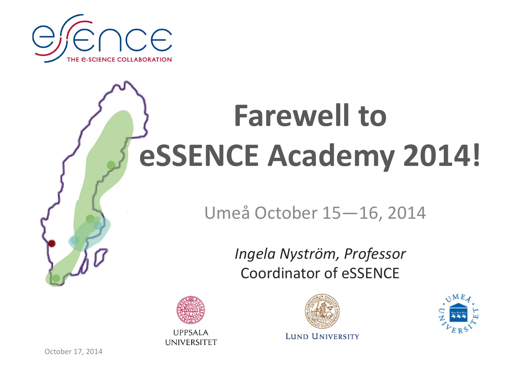

# **Farewell to eSSENCE Academy 2014!**

#### Umeå October 15—16, 2014

*Ingela Nyström, Professor* Coordinator of eSSENCE



**UPPSALA UNIVERSITET** 



**LUND UNIVERSITY** 



October 17, 2014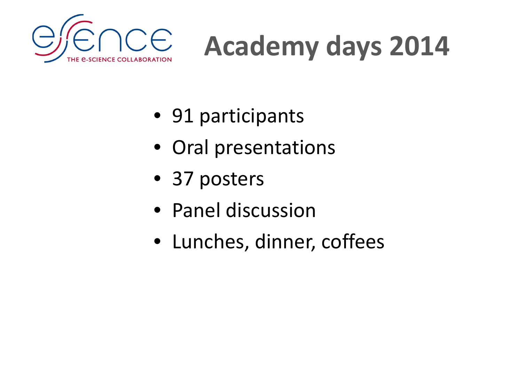

# **Academy days 2014**

- 91 participants
- Oral presentations
- 37 posters
- Panel discussion
- Lunches, dinner, coffees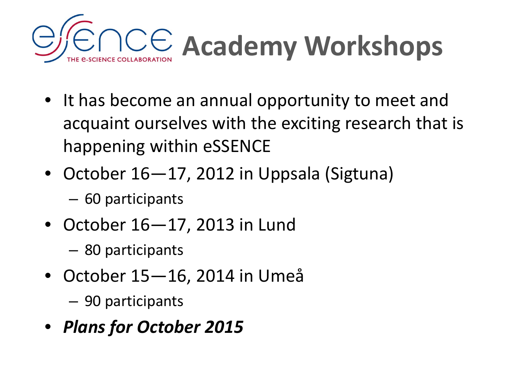

- It has become an annual opportunity to meet and acquaint ourselves with the exciting research that is happening within eSSENCE
- October 16—17, 2012 in Uppsala (Sigtuna)
	- –60 participants
- October 16—17, 2013 in Lund
	- –80 participants
- October 15—16, 2014 in Umeå
	- –90 participants
- *Plans for October 2015*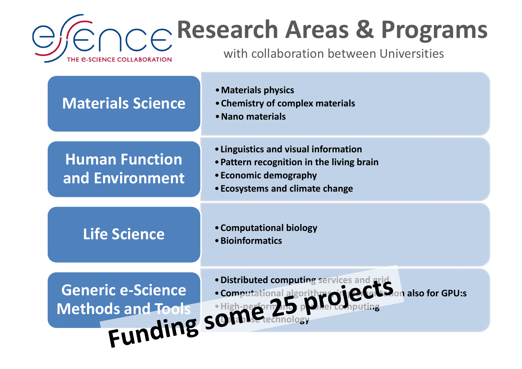

#### **Research Areas & Programs**

with collaboration between Universities

| <b>Materials Science</b>                             | • Materials physics<br>• Chemistry of complex materials<br>• Nano materials                                                                          |
|------------------------------------------------------|------------------------------------------------------------------------------------------------------------------------------------------------------|
| <b>Human Function</b><br>and Environment             | • Linguistics and visual information<br>• Pattern recognition in the living brain<br>• Economic demography<br><b>• Ecosystems and climate change</b> |
| <b>Life Science</b>                                  | • Computational biology<br>• Bioinformatics                                                                                                          |
| <b>Generic e-Science</b><br><b>Methods and Tools</b> | . Distributed computing services and grid<br>· Computational algorith roieCLS on also for GPU:s<br>Funding sometermal algo                           |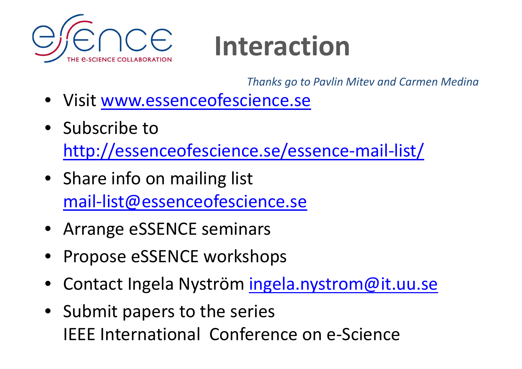

### **Interaction**

*Thanks go to Pavlin Mitev and Carmen Medina*

- Visit www.essenceofescience.se
- Subscribe tohttp://essenceofescience.se/essence‐mail‐list/
- Share info on mailing list mail‐list@essenceofescience.se
- Arrange eSSENCE seminars
- Propose eSSENCE workshops
- Contact Ingela Nyström ingela.nystrom@it.uu.se
- Submit papers to the series IEEE International Conference on e‐Science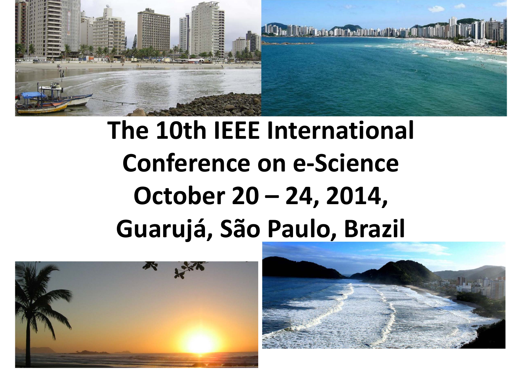

### **The 10th IEEE International Conference on e‐Science October 20 – 24, 2014, Guarujá, São Paulo, Brazil**



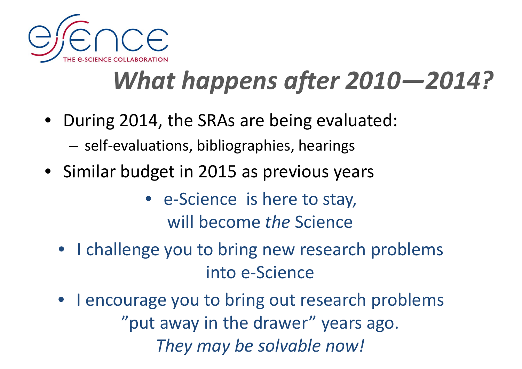

#### *What happens after 2010—2014?*

- During 2014, the SRAs are being evaluated:
	- self ‐evaluations, bibliographies, hearings
- Similar budget in 2015 as previous years
	- e-Science is here to stay, will become *the* Science
	- I challenge you to bring new research problems into e ‐Science
	- $\bullet$  I encourage you to bring out research problems "put away in the drawer" years ago. *They may be solvable now!*